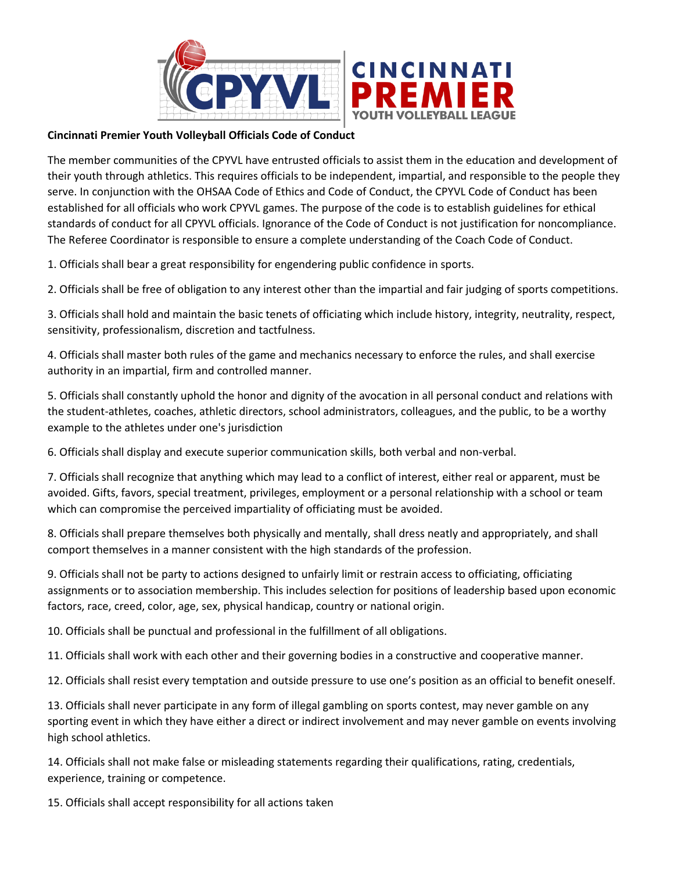

## **Cincinnati Premier Youth Volleyball Officials Code of Conduct**

The member communities of the CPYVL have entrusted officials to assist them in the education and development of their youth through athletics. This requires officials to be independent, impartial, and responsible to the people they serve. In conjunction with the OHSAA Code of Ethics and Code of Conduct, the CPYVL Code of Conduct has been established for all officials who work CPYVL games. The purpose of the code is to establish guidelines for ethical standards of conduct for all CPYVL officials. Ignorance of the Code of Conduct is not justification for noncompliance. The Referee Coordinator is responsible to ensure a complete understanding of the Coach Code of Conduct.

1. Officials shall bear a great responsibility for engendering public confidence in sports.

2. Officials shall be free of obligation to any interest other than the impartial and fair judging of sports competitions.

3. Officials shall hold and maintain the basic tenets of officiating which include history, integrity, neutrality, respect, sensitivity, professionalism, discretion and tactfulness.

4. Officials shall master both rules of the game and mechanics necessary to enforce the rules, and shall exercise authority in an impartial, firm and controlled manner.

5. Officials shall constantly uphold the honor and dignity of the avocation in all personal conduct and relations with the student-athletes, coaches, athletic directors, school administrators, colleagues, and the public, to be a worthy example to the athletes under one's jurisdiction

6. Officials shall display and execute superior communication skills, both verbal and non-verbal.

7. Officials shall recognize that anything which may lead to a conflict of interest, either real or apparent, must be avoided. Gifts, favors, special treatment, privileges, employment or a personal relationship with a school or team which can compromise the perceived impartiality of officiating must be avoided.

8. Officials shall prepare themselves both physically and mentally, shall dress neatly and appropriately, and shall comport themselves in a manner consistent with the high standards of the profession.

9. Officials shall not be party to actions designed to unfairly limit or restrain access to officiating, officiating assignments or to association membership. This includes selection for positions of leadership based upon economic factors, race, creed, color, age, sex, physical handicap, country or national origin.

10. Officials shall be punctual and professional in the fulfillment of all obligations.

11. Officials shall work with each other and their governing bodies in a constructive and cooperative manner.

12. Officials shall resist every temptation and outside pressure to use one's position as an official to benefit oneself.

13. Officials shall never participate in any form of illegal gambling on sports contest, may never gamble on any sporting event in which they have either a direct or indirect involvement and may never gamble on events involving high school athletics.

14. Officials shall not make false or misleading statements regarding their qualifications, rating, credentials, experience, training or competence.

15. Officials shall accept responsibility for all actions taken